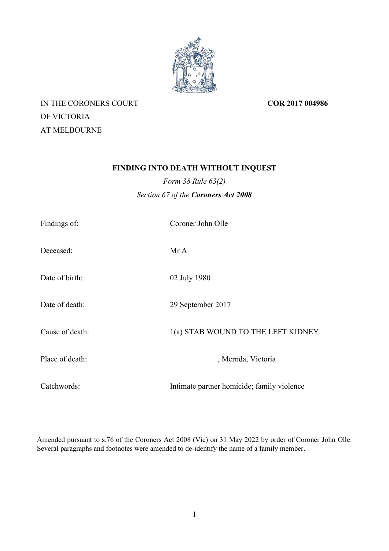

IN THE CORONERS COURT OF VICTORIA AT MELBOURNE

**COR 2017 004986**

# **FINDING INTO DEATH WITHOUT INQUEST**

*Form 38 Rule 63(2) Section 67 of the Coroners Act 2008*

| Findings of:    | Coroner John Olle                          |
|-----------------|--------------------------------------------|
| Deceased:       | Mr A                                       |
| Date of birth:  | 02 July 1980                               |
| Date of death:  | 29 September 2017                          |
| Cause of death: | 1(a) STAB WOUND TO THE LEFT KIDNEY         |
| Place of death: | , Mernda, Victoria                         |
| Catchwords:     | Intimate partner homicide; family violence |

Amended pursuant to s.76 of the Coroners Act 2008 (Vic) on 31 May 2022 by order of Coroner John Olle. Several paragraphs and footnotes were amended to de-identify the name of a family member.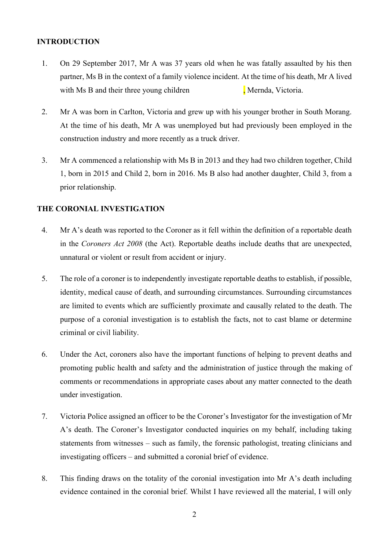#### **INTRODUCTION**

- 1. On 29 September 2017, Mr A was 37 years old when he was fatally assaulted by his then partner, Ms B in the context of a family violence incident. At the time of his death, Mr A lived with Ms B and their three young children **, Mernda**, Victoria.
- 2. Mr A was born in Carlton, Victoria and grew up with his younger brother in South Morang. At the time of his death, Mr A was unemployed but had previously been employed in the construction industry and more recently as a truck driver.
- 3. Mr A commenced a relationship with Ms B in 2013 and they had two children together, Child 1, born in 2015 and Child 2, born in 2016. Ms B also had another daughter, Child 3, from a prior relationship.

#### **THE CORONIAL INVESTIGATION**

- 4. Mr A's death was reported to the Coroner as it fell within the definition of a reportable death in the *Coroners Act 2008* (the Act). Reportable deaths include deaths that are unexpected, unnatural or violent or result from accident or injury.
- 5. The role of a coroner is to independently investigate reportable deaths to establish, if possible, identity, medical cause of death, and surrounding circumstances. Surrounding circumstances are limited to events which are sufficiently proximate and causally related to the death. The purpose of a coronial investigation is to establish the facts, not to cast blame or determine criminal or civil liability.
- 6. Under the Act, coroners also have the important functions of helping to prevent deaths and promoting public health and safety and the administration of justice through the making of comments or recommendations in appropriate cases about any matter connected to the death under investigation.
- 7. Victoria Police assigned an officer to be the Coroner's Investigator for the investigation of Mr A's death. The Coroner's Investigator conducted inquiries on my behalf, including taking statements from witnesses – such as family, the forensic pathologist, treating clinicians and investigating officers – and submitted a coronial brief of evidence.
- 8. This finding draws on the totality of the coronial investigation into Mr A's death including evidence contained in the coronial brief. Whilst I have reviewed all the material, I will only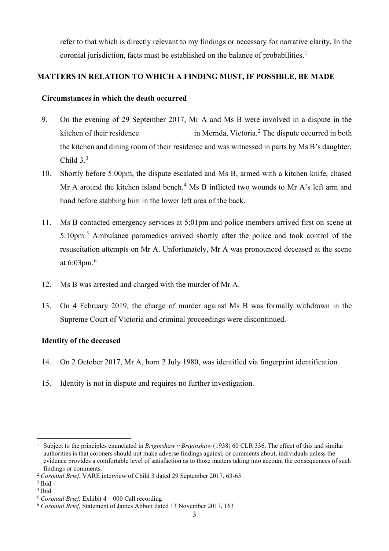refer to that which is directly relevant to my findings or necessary for narrative clarity. In the coronial jurisdiction, facts must be established on the balance of probabilities.<sup>1</sup>

## **MATTERS IN RELATION TO WHICH A FINDING MUST, IF POSSIBLE, BE MADE**

### **Circumstances in which the death occurred**

- 9. On the evening of 29 September 2017, Mr A and Ms B were involved in a dispute in the kitchen of their residence in Mernda, Victoria.<sup>2</sup> The dispute occurred in both the kitchen and dining room of their residence and was witnessed in parts by Ms B's daughter, Child  $3<sup>3</sup>$
- 10. Shortly before 5:00pm, the dispute escalated and Ms B, armed with a kitchen knife, chased Mr A around the kitchen island bench.<sup>4</sup> Ms B inflicted two wounds to Mr A's left arm and hand before stabbing him in the lower left area of the back.
- 11. Ms B contacted emergency services at 5:01pm and police members arrived first on scene at 5:10pm.<sup>5</sup> Ambulance paramedics arrived shortly after the police and took control of the resuscitation attempts on Mr A. Unfortunately, Mr A was pronounced deceased at the scene at 6:03pm. $^6$
- 12. Ms B was arrested and charged with the murder of Mr A.
- 13. On 4 February 2019, the charge of murder against Ms B was formally withdrawn in the Supreme Court of Victoria and criminal proceedings were discontinued.

## **Identity of the deceased**

- 14. On 2 October 2017, Mr A, born 2 July 1980, was identified via fingerprint identification.
- 15. Identity is not in dispute and requires no further investigation.

<sup>1</sup> Subject to the principles enunciated in *Briginshaw v Briginshaw* (1938) 60 CLR 336. The effect of this and similar authorities is that coroners should not make adverse findings against, or comments about, individuals unless the evidence provides a comfortable level of satisfaction as to those matters taking into account the consequences of such findings or comments.

<sup>2</sup> *Coronial Brief*, VARE interview of Child 3 dated 29 September 2017, 63-65

<sup>3</sup> Ibid

<sup>&</sup>lt;sup>4</sup> Ibid<br><sup>5</sup> *Coronial Brief*, Exhibit  $4 - 000$  Call recording

<sup>&</sup>lt;sup>6</sup> Coronial Brief, Statement of James Abbott dated 13 November 2017, 163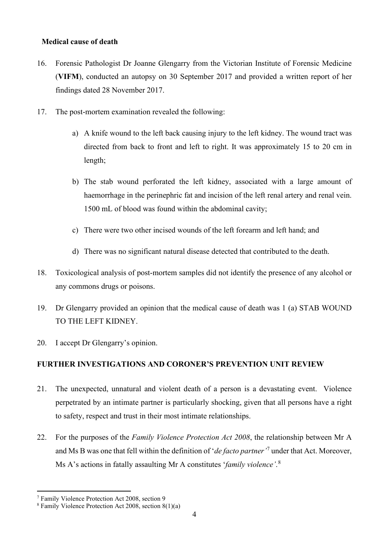### **Medical cause of death**

- 16. Forensic Pathologist Dr Joanne Glengarry from the Victorian Institute of Forensic Medicine (**VIFM**), conducted an autopsy on 30 September 2017 and provided a written report of her findings dated 28 November 2017.
- 17. The post-mortem examination revealed the following:
	- a) A knife wound to the left back causing injury to the left kidney. The wound tract was directed from back to front and left to right. It was approximately 15 to 20 cm in length;
	- b) The stab wound perforated the left kidney, associated with a large amount of haemorrhage in the perinephric fat and incision of the left renal artery and renal vein. 1500 mL of blood was found within the abdominal cavity;
	- c) There were two other incised wounds of the left forearm and left hand; and
	- d) There was no significant natural disease detected that contributed to the death.
- 18. Toxicological analysis of post-mortem samples did not identify the presence of any alcohol or any commons drugs or poisons.
- 19. Dr Glengarry provided an opinion that the medical cause of death was 1 (a) STAB WOUND TO THE LEFT KIDNEY.
- 20. I accept Dr Glengarry's opinion.

# **FURTHER INVESTIGATIONS AND CORONER'S PREVENTION UNIT REVIEW**

- 21. The unexpected, unnatural and violent death of a person is a devastating event. Violence perpetrated by an intimate partner is particularly shocking, given that all persons have a right to safety, respect and trust in their most intimate relationships.
- 22. For the purposes of the *Family Violence Protection Act 2008*, the relationship between Mr A and Ms B was one that fell within the definition of '*de facto partner'*<sup>7</sup> under that Act. Moreover, Ms A's actions in fatally assaulting Mr A constitutes '*family violence'*. 8

<sup>7</sup> Family Violence Protection Act 2008, section 9

<sup>8</sup> Family Violence Protection Act 2008, section 8(1)(a)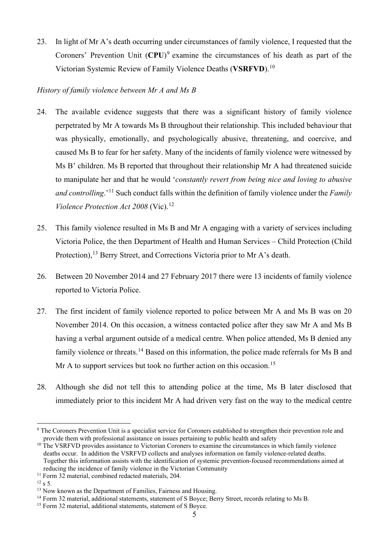23. In light of Mr A's death occurring under circumstances of family violence, I requested that the Coroners' Prevention Unit (**CPU**)<sup>9</sup> examine the circumstances of his death as part of the Victorian Systemic Review of Family Violence Deaths (**VSRFVD**).<sup>10</sup>

### *History of family violence between Mr A and Ms B*

- 24. The available evidence suggests that there was a significant history of family violence perpetrated by Mr A towards Ms B throughout their relationship. This included behaviour that was physically, emotionally, and psychologically abusive, threatening, and coercive, and caused Ms B to fear for her safety. Many of the incidents of family violence were witnessed by Ms B' children. Ms B reported that throughout their relationship Mr A had threatened suicide to manipulate her and that he would '*constantly revert from being nice and loving to abusive and controlling*.'<sup>11</sup> Such conduct falls within the definition of family violence under the *Family Violence Protection Act 2008* (Vic).<sup>12</sup>
- 25. This family violence resulted in Ms B and Mr A engaging with a variety of services including Victoria Police, the then Department of Health and Human Services – Child Protection (Child Protection),<sup>13</sup> Berry Street, and Corrections Victoria prior to Mr A's death.
- 26. Between 20 November 2014 and 27 February 2017 there were 13 incidents of family violence reported to Victoria Police.
- 27. The first incident of family violence reported to police between Mr A and Ms B was on 20 November 2014. On this occasion, a witness contacted police after they saw Mr A and Ms B having a verbal argument outside of a medical centre. When police attended, Ms B denied any family violence or threats.<sup>14</sup> Based on this information, the police made referrals for Ms B and Mr A to support services but took no further action on this occasion.<sup>15</sup>
- 28. Although she did not tell this to attending police at the time, Ms B later disclosed that immediately prior to this incident Mr A had driven very fast on the way to the medical centre

<sup>&</sup>lt;sup>9</sup> The Coroners Prevention Unit is a specialist service for Coroners established to strengthen their prevention role and provide them with professional assistance on issues pertaining to public health and safety

<sup>&</sup>lt;sup>10</sup> The VSRFVD provides assistance to Victorian Coroners to examine the circumstances in which family violence deaths occur. In addition the VSRFVD collects and analyses information on family violence-related deaths. Together this information assists with the identification of systemic prevention-focused recommendations aimed at reducing the incidence of family violence in the Victorian Community

<sup>&</sup>lt;sup>11</sup> Form 32 material, combined redacted materials, 204.

 $12 \text{ s } 5$ .<br><sup>13</sup> Now known as the Department of Families. Fairness and Housing.

 $14$  Form 32 material, additional statements, statement of S Boyce; Berry Street, records relating to Ms B.  $15$  Form 32 material, additional statements, statement of S Boyce.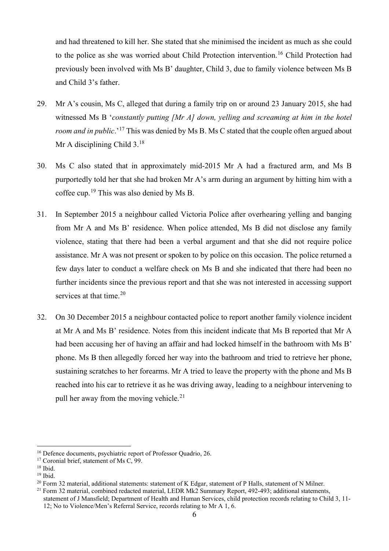and had threatened to kill her. She stated that she minimised the incident as much as she could to the police as she was worried about Child Protection intervention.<sup>16</sup> Child Protection had previously been involved with Ms B' daughter, Child 3, due to family violence between Ms B and Child 3's father.

- 29. Mr A's cousin, Ms C, alleged that during a family trip on or around 23 January 2015, she had witnessed Ms B '*constantly putting [Mr A] down, yelling and screaming at him in the hotel room and in public*.' <sup>17</sup> This was denied by Ms B. Ms C stated that the couple often argued about Mr A disciplining Child  $3.^{18}$
- 30. Ms C also stated that in approximately mid-2015 Mr A had a fractured arm, and Ms B purportedly told her that she had broken Mr A's arm during an argument by hitting him with a coffee cup.<sup>19</sup> This was also denied by Ms B.
- 31. In September 2015 a neighbour called Victoria Police after overhearing yelling and banging from Mr A and Ms B' residence. When police attended, Ms B did not disclose any family violence, stating that there had been a verbal argument and that she did not require police assistance. Mr A was not present or spoken to by police on this occasion. The police returned a few days later to conduct a welfare check on Ms B and she indicated that there had been no further incidents since the previous report and that she was not interested in accessing support services at that time. $20$
- 32. On 30 December 2015 a neighbour contacted police to report another family violence incident at Mr A and Ms B' residence. Notes from this incident indicate that Ms B reported that Mr A had been accusing her of having an affair and had locked himself in the bathroom with Ms B' phone. Ms B then allegedly forced her way into the bathroom and tried to retrieve her phone, sustaining scratches to her forearms. Mr A tried to leave the property with the phone and Ms B reached into his car to retrieve it as he was driving away, leading to a neighbour intervening to pull her away from the moving vehicle.<sup>21</sup>

<sup>&</sup>lt;sup>16</sup> Defence documents, psychiatric report of Professor Quadrio, 26.

<sup>&</sup>lt;sup>17</sup> Coronial brief, statement of Ms C, 99.

<sup>18</sup> Ibid.

<sup>19</sup> Ibid.

<sup>&</sup>lt;sup>20</sup> Form 32 material, additional statements: statement of K Edgar, statement of P Halls, statement of N Milner.

 $^{21}$  Form 32 material, combined redacted material, LEDR Mk2 Summary Report, 492-493; additional statements, statement of J Mansfield; Department of Health and Human Services, child protection records relating to Child 3, 11- 12; No to Violence/Men's Referral Service, records relating to Mr A 1, 6.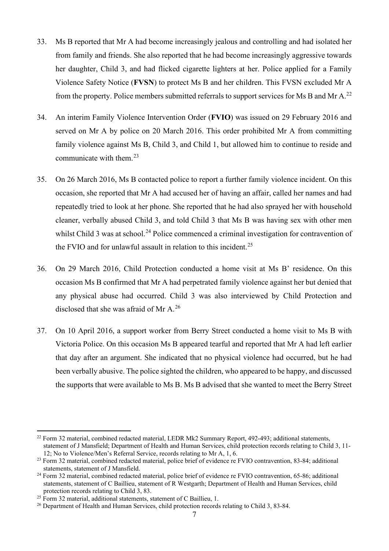- 33. Ms B reported that Mr A had become increasingly jealous and controlling and had isolated her from family and friends. She also reported that he had become increasingly aggressive towards her daughter, Child 3, and had flicked cigarette lighters at her. Police applied for a Family Violence Safety Notice (**FVSN**) to protect Ms B and her children. This FVSN excluded Mr A from the property. Police members submitted referrals to support services for Ms B and Mr A.<sup>22</sup>
- 34. An interim Family Violence Intervention Order (**FVIO**) was issued on 29 February 2016 and served on Mr A by police on 20 March 2016. This order prohibited Mr A from committing family violence against Ms B, Child 3, and Child 1, but allowed him to continue to reside and communicate with them. $^{23}$
- 35. On 26 March 2016, Ms B contacted police to report a further family violence incident. On this occasion, she reported that Mr A had accused her of having an affair, called her names and had repeatedly tried to look at her phone. She reported that he had also sprayed her with household cleaner, verbally abused Child 3, and told Child 3 that Ms B was having sex with other men whilst Child 3 was at school.<sup>24</sup> Police commenced a criminal investigation for contravention of the FVIO and for unlawful assault in relation to this incident.<sup>25</sup>
- 36. On 29 March 2016, Child Protection conducted a home visit at Ms B' residence. On this occasion Ms B confirmed that Mr A had perpetrated family violence against her but denied that any physical abuse had occurred. Child 3 was also interviewed by Child Protection and disclosed that she was afraid of Mr A. 26
- 37. On 10 April 2016, a support worker from Berry Street conducted a home visit to Ms B with Victoria Police. On this occasion Ms B appeared tearful and reported that Mr A had left earlier that day after an argument. She indicated that no physical violence had occurred, but he had been verbally abusive. The police sighted the children, who appeared to be happy, and discussed the supports that were available to Ms B. Ms B advised that she wanted to meet the Berry Street

<sup>&</sup>lt;sup>22</sup> Form 32 material, combined redacted material, LEDR Mk2 Summary Report, 492-493; additional statements, statement of J Mansfield; Department of Health and Human Services, child protection records relating to Child 3, 11- 12; No to Violence/Men's Referral Service, records relating to Mr A, 1, 6.

<sup>&</sup>lt;sup>23</sup> Form 32 material, combined redacted material, police brief of evidence re FVIO contravention, 83-84; additional statements, statement of J Mansfield.

<sup>&</sup>lt;sup>24</sup> Form 32 material, combined redacted material, police brief of evidence re FVIO contravention, 65-86; additional statements, statement of C Baillieu, statement of R Westgarth; Department of Health and Human Services, child protection records relating to Child 3, 83.

<sup>&</sup>lt;sup>25</sup> Form 32 material, additional statements, statement of C Baillieu, 1.

<sup>&</sup>lt;sup>26</sup> Department of Health and Human Services, child protection records relating to Child 3, 83-84.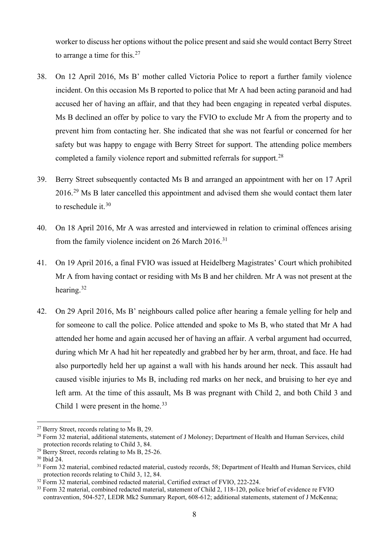worker to discuss her options without the police present and said she would contact Berry Street to arrange a time for this. $27$ 

- 38. On 12 April 2016, Ms B' mother called Victoria Police to report a further family violence incident. On this occasion Ms B reported to police that Mr A had been acting paranoid and had accused her of having an affair, and that they had been engaging in repeated verbal disputes. Ms B declined an offer by police to vary the FVIO to exclude Mr A from the property and to prevent him from contacting her. She indicated that she was not fearful or concerned for her safety but was happy to engage with Berry Street for support. The attending police members completed a family violence report and submitted referrals for support.<sup>28</sup>
- 39. Berry Street subsequently contacted Ms B and arranged an appointment with her on 17 April 2016.<sup>29</sup> Ms B later cancelled this appointment and advised them she would contact them later to reschedule it. $30$
- 40. On 18 April 2016, Mr A was arrested and interviewed in relation to criminal offences arising from the family violence incident on 26 March  $2016$ .<sup>31</sup>
- 41. On 19 April 2016, a final FVIO was issued at Heidelberg Magistrates' Court which prohibited Mr A from having contact or residing with Ms B and her children. Mr A was not present at the hearing.<sup>32</sup>
- 42. On 29 April 2016, Ms B' neighbours called police after hearing a female yelling for help and for someone to call the police. Police attended and spoke to Ms B, who stated that Mr A had attended her home and again accused her of having an affair. A verbal argument had occurred, during which Mr A had hit her repeatedly and grabbed her by her arm, throat, and face. He had also purportedly held her up against a wall with his hands around her neck. This assault had caused visible injuries to Ms B, including red marks on her neck, and bruising to her eye and left arm. At the time of this assault, Ms B was pregnant with Child 2, and both Child 3 and Child 1 were present in the home.<sup>33</sup>

<sup>&</sup>lt;sup>27</sup> Berry Street, records relating to Ms B, 29.

<sup>&</sup>lt;sup>28</sup> Form 32 material, additional statements, statement of J Moloney; Department of Health and Human Services, child protection records relating to Child 3, 84.

 $29$  Berry Street, records relating to Ms B, 25-26.

<sup>30</sup> Ibid 24.

<sup>&</sup>lt;sup>31</sup> Form 32 material, combined redacted material, custody records, 58; Department of Health and Human Services, child protection records relating to Child 3, 12, 84.

<sup>&</sup>lt;sup>32</sup> Form 32 material, combined redacted material, Certified extract of FVIO, 222-224.

<sup>&</sup>lt;sup>33</sup> Form 32 material, combined redacted material, statement of Child 2, 118-120, police brief of evidence re FVIO contravention, 504-527, LEDR Mk2 Summary Report, 608-612; additional statements, statement of J McKenna;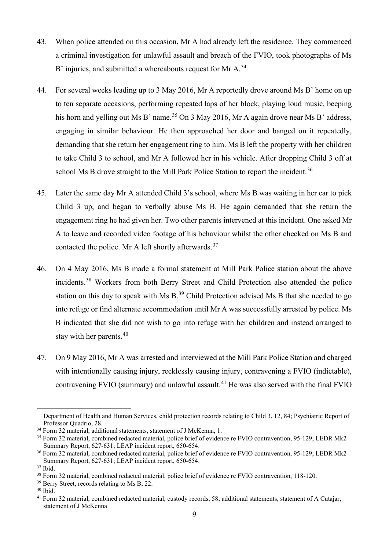- 43. When police attended on this occasion, Mr A had already left the residence. They commenced a criminal investigation for unlawful assault and breach of the FVIO, took photographs of Ms B' injuries, and submitted a whereabouts request for Mr A.<sup>34</sup>
- 44. For several weeks leading up to 3 May 2016, Mr A reportedly drove around Ms B' home on up to ten separate occasions, performing repeated laps of her block, playing loud music, beeping his horn and yelling out Ms B' name.<sup>35</sup> On 3 May 2016, Mr A again drove near Ms B' address, engaging in similar behaviour. He then approached her door and banged on it repeatedly, demanding that she return her engagement ring to him. Ms B left the property with her children to take Child 3 to school, and Mr A followed her in his vehicle. After dropping Child 3 off at school Ms B drove straight to the Mill Park Police Station to report the incident.<sup>36</sup>
- 45. Later the same day Mr A attended Child 3's school, where Ms B was waiting in her car to pick Child 3 up, and began to verbally abuse Ms B. He again demanded that she return the engagement ring he had given her. Two other parents intervened at this incident. One asked Mr A to leave and recorded video footage of his behaviour whilst the other checked on Ms B and contacted the police. Mr A left shortly afterwards.<sup>37</sup>
- 46. On 4 May 2016, Ms B made a formal statement at Mill Park Police station about the above incidents.<sup>38</sup> Workers from both Berry Street and Child Protection also attended the police station on this day to speak with Ms B.<sup>39</sup> Child Protection advised Ms B that she needed to go into refuge or find alternate accommodation until Mr A was successfully arrested by police. Ms B indicated that she did not wish to go into refuge with her children and instead arranged to stay with her parents.<sup>40</sup>
- 47. On 9 May 2016, Mr A was arrested and interviewed at the Mill Park Police Station and charged with intentionally causing injury, recklessly causing injury, contravening a FVIO (indictable), contravening FVIO (summary) and unlawful assault.<sup>41</sup> He was also served with the final FVIO

Department of Health and Human Services, child protection records relating to Child 3, 12, 84; Psychiatric Report of Professor Quadrio, 28.

<sup>&</sup>lt;sup>34</sup> Form 32 material, additional statements, statement of J McKenna, 1.

<sup>35</sup> Form 32 material, combined redacted material, police brief of evidence re FVIO contravention, 95-129; LEDR Mk2 Summary Report, 627-631; LEAP incident report, 650-654.

<sup>36</sup> Form 32 material, combined redacted material, police brief of evidence re FVIO contravention, 95-129; LEDR Mk2 Summary Report, 627-631; LEAP incident report, 650-654.

 $37$  Ibid.

<sup>38</sup> Form 32 material, combined redacted material, police brief of evidence re FVIO contravention, 118-120.

<sup>39</sup> Berry Street, records relating to Ms B, 22.

 $40$  Ibid.

<sup>&</sup>lt;sup>41</sup> Form 32 material, combined redacted material, custody records, 58; additional statements, statement of A Cutajar, statement of J McKenna.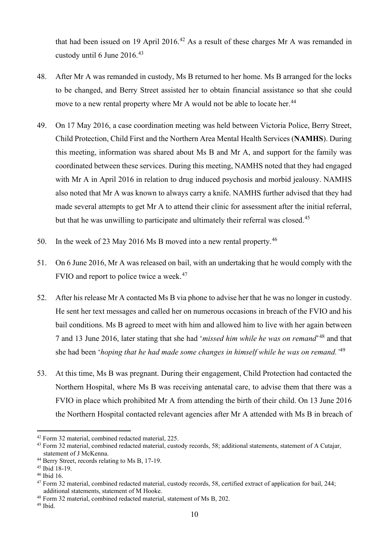that had been issued on 19 April 2016.<sup>42</sup> As a result of these charges Mr A was remanded in custody until 6 June 2016.<sup>43</sup>

- 48. After Mr A was remanded in custody, Ms B returned to her home. Ms B arranged for the locks to be changed, and Berry Street assisted her to obtain financial assistance so that she could move to a new rental property where Mr A would not be able to locate her.<sup>44</sup>
- 49. On 17 May 2016, a case coordination meeting was held between Victoria Police, Berry Street, Child Protection, Child First and the Northern Area Mental Health Services (**NAMHS**). During this meeting, information was shared about Ms B and Mr A, and support for the family was coordinated between these services. During this meeting, NAMHS noted that they had engaged with Mr A in April 2016 in relation to drug induced psychosis and morbid jealousy. NAMHS also noted that Mr A was known to always carry a knife. NAMHS further advised that they had made several attempts to get Mr A to attend their clinic for assessment after the initial referral, but that he was unwilling to participate and ultimately their referral was closed.<sup>45</sup>
- 50. In the week of 23 May 2016 Ms B moved into a new rental property.<sup>46</sup>
- 51. On 6 June 2016, Mr A was released on bail, with an undertaking that he would comply with the FVIO and report to police twice a week.<sup>47</sup>
- 52. After his release Mr A contacted Ms B via phone to advise her that he was no longer in custody. He sent her text messages and called her on numerous occasions in breach of the FVIO and his bail conditions. Ms B agreed to meet with him and allowed him to live with her again between 7 and 13 June 2016, later stating that she had '*missed him while he was on remand*'<sup>48</sup> and that she had been '*hoping that he had made some changes in himself while he was on remand.'*<sup>49</sup>
- 53. At this time, Ms B was pregnant. During their engagement, Child Protection had contacted the Northern Hospital, where Ms B was receiving antenatal care, to advise them that there was a FVIO in place which prohibited Mr A from attending the birth of their child. On 13 June 2016 the Northern Hospital contacted relevant agencies after Mr A attended with Ms B in breach of

<sup>42</sup> Form 32 material, combined redacted material, 225.

<sup>43</sup> Form 32 material, combined redacted material, custody records, 58; additional statements, statement of A Cutajar, statement of J McKenna.

<sup>44</sup> Berry Street, records relating to Ms B, 17-19.

<sup>45</sup> Ibid 18-19.

<sup>46</sup> Ibid 16.

<sup>47</sup> Form 32 material, combined redacted material, custody records, 58, certified extract of application for bail, 244; additional statements, statement of M Hooke.

<sup>48</sup> Form 32 material, combined redacted material, statement of Ms B, 202.

<sup>49</sup> Ibid.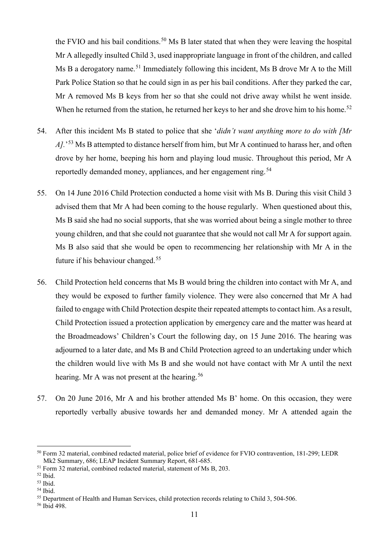the FVIO and his bail conditions.<sup>50</sup> Ms B later stated that when they were leaving the hospital Mr A allegedly insulted Child 3, used inappropriate language in front of the children, and called Ms B a derogatory name.<sup>51</sup> Immediately following this incident, Ms B drove Mr A to the Mill Park Police Station so that he could sign in as per his bail conditions. After they parked the car, Mr A removed Ms B keys from her so that she could not drive away whilst he went inside. When he returned from the station, he returned her keys to her and she drove him to his home.<sup>52</sup>

- 54. After this incident Ms B stated to police that she '*didn't want anything more to do with [Mr*  A].<sup>53</sup> Ms B attempted to distance herself from him, but Mr A continued to harass her, and often drove by her home, beeping his horn and playing loud music. Throughout this period, Mr A reportedly demanded money, appliances, and her engagement ring.<sup>54</sup>
- 55. On 14 June 2016 Child Protection conducted a home visit with Ms B. During this visit Child 3 advised them that Mr A had been coming to the house regularly. When questioned about this, Ms B said she had no social supports, that she was worried about being a single mother to three young children, and that she could not guarantee that she would not call Mr A for support again. Ms B also said that she would be open to recommencing her relationship with Mr A in the future if his behaviour changed.<sup>55</sup>
- 56. Child Protection held concerns that Ms B would bring the children into contact with Mr A, and they would be exposed to further family violence. They were also concerned that Mr A had failed to engage with Child Protection despite their repeated attempts to contact him. As a result, Child Protection issued a protection application by emergency care and the matter was heard at the Broadmeadows' Children's Court the following day, on 15 June 2016. The hearing was adjourned to a later date, and Ms B and Child Protection agreed to an undertaking under which the children would live with Ms B and she would not have contact with Mr A until the next hearing. Mr A was not present at the hearing.<sup>56</sup>
- 57. On 20 June 2016, Mr A and his brother attended Ms B' home. On this occasion, they were reportedly verbally abusive towards her and demanded money. Mr A attended again the

<sup>50</sup> Form 32 material, combined redacted material, police brief of evidence for FVIO contravention, 181-299; LEDR Mk2 Summary, 686; LEAP Incident Summary Report, 681-685.

<sup>&</sup>lt;sup>51</sup> Form 32 material, combined redacted material, statement of Ms B, 203.

<sup>52</sup> Ibid.

<sup>53</sup> Ibid.

<sup>54</sup> Ibid.

<sup>&</sup>lt;sup>55</sup> Department of Health and Human Services, child protection records relating to Child 3, 504-506.

<sup>56</sup> Ibid 498.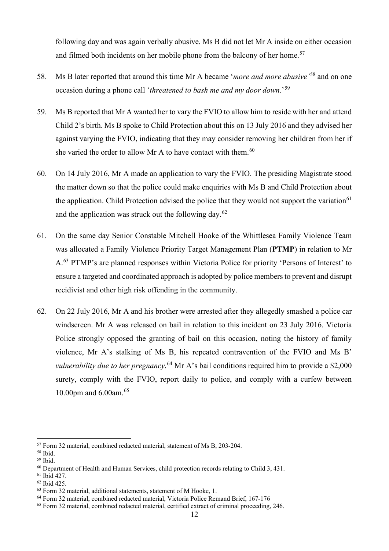following day and was again verbally abusive. Ms B did not let Mr A inside on either occasion and filmed both incidents on her mobile phone from the balcony of her home.<sup>57</sup>

- 58. Ms B later reported that around this time Mr A became '*more and more abusive'*<sup>58</sup> and on one occasion during a phone call '*threatened to bash me and my door down*.'<sup>59</sup>
- 59. Ms B reported that Mr A wanted her to vary the FVIO to allow him to reside with her and attend Child 2's birth. Ms B spoke to Child Protection about this on 13 July 2016 and they advised her against varying the FVIO, indicating that they may consider removing her children from her if she varied the order to allow Mr A to have contact with them.<sup>60</sup>
- 60. On 14 July 2016, Mr A made an application to vary the FVIO. The presiding Magistrate stood the matter down so that the police could make enquiries with Ms B and Child Protection about the application. Child Protection advised the police that they would not support the variation<sup>61</sup> and the application was struck out the following day.<sup>62</sup>
- 61. On the same day Senior Constable Mitchell Hooke of the Whittlesea Family Violence Team was allocated a Family Violence Priority Target Management Plan (**PTMP**) in relation to Mr A.<sup>63</sup> PTMP's are planned responses within Victoria Police for priority 'Persons of Interest' to ensure a targeted and coordinated approach is adopted by police members to prevent and disrupt recidivist and other high risk offending in the community.
- 62. On 22 July 2016, Mr A and his brother were arrested after they allegedly smashed a police car windscreen. Mr A was released on bail in relation to this incident on 23 July 2016. Victoria Police strongly opposed the granting of bail on this occasion, noting the history of family violence, Mr A's stalking of Ms B, his repeated contravention of the FVIO and Ms B' *vulnerability due to her pregnancy*. <sup>64</sup> Mr A's bail conditions required him to provide a \$2,000 surety, comply with the FVIO, report daily to police, and comply with a curfew between 10.00pm and 6.00am.<sup>65</sup>

<sup>57</sup> Form 32 material, combined redacted material, statement of Ms B, 203-204.

<sup>58</sup> Ibid.

<sup>59</sup> Ibid.

 $60$  Department of Health and Human Services, child protection records relating to Child 3, 431.

<sup>61</sup> Ibid 427.

<sup>62</sup> Ibid 425.

<sup>63</sup> Form 32 material, additional statements, statement of M Hooke, 1.

<sup>64</sup> Form 32 material, combined redacted material, Victoria Police Remand Brief, 167-176

<sup>65</sup> Form 32 material, combined redacted material, certified extract of criminal proceeding, 246.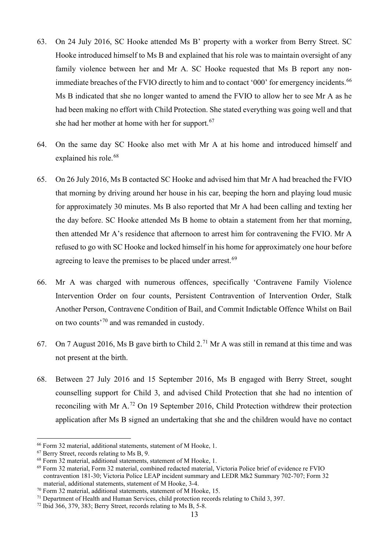- 63. On 24 July 2016, SC Hooke attended Ms B' property with a worker from Berry Street. SC Hooke introduced himself to Ms B and explained that his role was to maintain oversight of any family violence between her and Mr A. SC Hooke requested that Ms B report any nonimmediate breaches of the FVIO directly to him and to contact '000' for emergency incidents.<sup>66</sup> Ms B indicated that she no longer wanted to amend the FVIO to allow her to see Mr A as he had been making no effort with Child Protection. She stated everything was going well and that she had her mother at home with her for support.<sup>67</sup>
- 64. On the same day SC Hooke also met with Mr A at his home and introduced himself and explained his role.<sup>68</sup>
- 65. On 26 July 2016, Ms B contacted SC Hooke and advised him that Mr A had breached the FVIO that morning by driving around her house in his car, beeping the horn and playing loud music for approximately 30 minutes. Ms B also reported that Mr A had been calling and texting her the day before. SC Hooke attended Ms B home to obtain a statement from her that morning, then attended Mr A's residence that afternoon to arrest him for contravening the FVIO. Mr A refused to go with SC Hooke and locked himself in his home for approximately one hour before agreeing to leave the premises to be placed under arrest.<sup>69</sup>
- 66. Mr A was charged with numerous offences, specifically 'Contravene Family Violence Intervention Order on four counts, Persistent Contravention of Intervention Order, Stalk Another Person, Contravene Condition of Bail, and Commit Indictable Offence Whilst on Bail on two counts<sup>'70</sup> and was remanded in custody.
- 67. On 7 August 2016, Ms B gave birth to Child  $2.^{71}$  Mr A was still in remand at this time and was not present at the birth.
- 68. Between 27 July 2016 and 15 September 2016, Ms B engaged with Berry Street, sought counselling support for Child 3, and advised Child Protection that she had no intention of reconciling with Mr A.<sup>72</sup> On 19 September 2016, Child Protection withdrew their protection application after Ms B signed an undertaking that she and the children would have no contact

<sup>66</sup> Form 32 material, additional statements, statement of M Hooke, 1.

<sup>67</sup> Berry Street, records relating to Ms B, 9.

<sup>68</sup> Form 32 material, additional statements, statement of M Hooke, 1.

<sup>69</sup> Form 32 material, Form 32 material, combined redacted material, Victoria Police brief of evidence re FVIO contravention 181-30; Victoria Police LEAP incident summary and LEDR Mk2 Summary 702-707; Form 32 material, additional statements, statement of M Hooke, 3-4.

<sup>70</sup> Form 32 material, additional statements, statement of M Hooke, 15.

 $71$  Department of Health and Human Services, child protection records relating to Child 3, 397.

<sup>&</sup>lt;sup>72</sup> Ibid 366, 379, 383; Berry Street, records relating to Ms B, 5-8.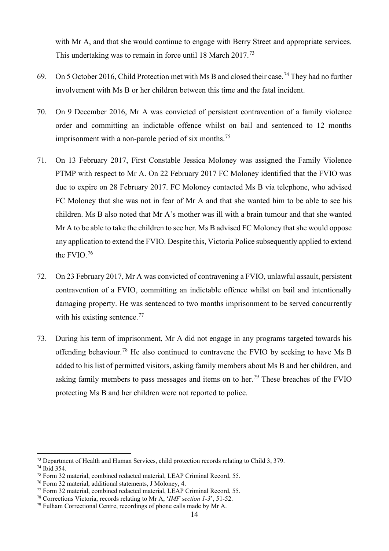with Mr A, and that she would continue to engage with Berry Street and appropriate services. This undertaking was to remain in force until 18 March 2017.<sup>73</sup>

- 69. On 5 October 2016, Child Protection met with Ms B and closed their case.<sup>74</sup> They had no further involvement with Ms B or her children between this time and the fatal incident.
- 70. On 9 December 2016, Mr A was convicted of persistent contravention of a family violence order and committing an indictable offence whilst on bail and sentenced to 12 months imprisonment with a non-parole period of six months.<sup>75</sup>
- 71. On 13 February 2017, First Constable Jessica Moloney was assigned the Family Violence PTMP with respect to Mr A. On 22 February 2017 FC Moloney identified that the FVIO was due to expire on 28 February 2017. FC Moloney contacted Ms B via telephone, who advised FC Moloney that she was not in fear of Mr A and that she wanted him to be able to see his children. Ms B also noted that Mr A's mother was ill with a brain tumour and that she wanted Mr A to be able to take the children to see her. Ms B advised FC Moloney that she would oppose any application to extend the FVIO. Despite this, Victoria Police subsequently applied to extend the FVIO.<sup>76</sup>
- 72. On 23 February 2017, Mr A was convicted of contravening a FVIO, unlawful assault, persistent contravention of a FVIO, committing an indictable offence whilst on bail and intentionally damaging property. He was sentenced to two months imprisonment to be served concurrently with his existing sentence.<sup>77</sup>
- 73. During his term of imprisonment, Mr A did not engage in any programs targeted towards his offending behaviour.<sup>78</sup> He also continued to contravene the FVIO by seeking to have Ms B added to his list of permitted visitors, asking family members about Ms B and her children, and asking family members to pass messages and items on to her.<sup>79</sup> These breaches of the FVIO protecting Ms B and her children were not reported to police.

 $73$  Department of Health and Human Services, child protection records relating to Child 3, 379.

 $74$  Ibid 354.

<sup>75</sup> Form 32 material, combined redacted material, LEAP Criminal Record, 55.

<sup>76</sup> Form 32 material, additional statements, J Moloney, 4.

<sup>&</sup>lt;sup>77</sup> Form 32 material, combined redacted material, LEAP Criminal Record, 55.

<sup>78</sup> Corrections Victoria, records relating to Mr A, '*IMF section 1-3*', 51-52.

 $79$  Fulham Correctional Centre, recordings of phone calls made by Mr A.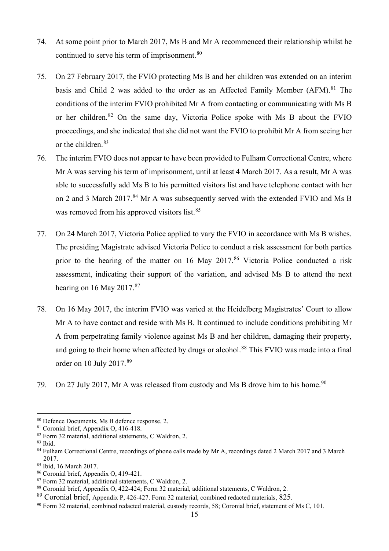- 74. At some point prior to March 2017, Ms B and Mr A recommenced their relationship whilst he continued to serve his term of imprisonment.<sup>80</sup>
- 75. On 27 February 2017, the FVIO protecting Ms B and her children was extended on an interim basis and Child 2 was added to the order as an Affected Family Member  $(AFM).<sup>81</sup>$  The conditions of the interim FVIO prohibited Mr A from contacting or communicating with Ms B or her children. <sup>82</sup> On the same day, Victoria Police spoke with Ms B about the FVIO proceedings, and she indicated that she did not want the FVIO to prohibit Mr A from seeing her or the children.<sup>83</sup>
- 76. The interim FVIO does not appear to have been provided to Fulham Correctional Centre, where Mr A was serving his term of imprisonment, until at least 4 March 2017. As a result, Mr A was able to successfully add Ms B to his permitted visitors list and have telephone contact with her on 2 and 3 March 2017.<sup>84</sup> Mr A was subsequently served with the extended FVIO and Ms B was removed from his approved visitors list.<sup>85</sup>
- 77. On 24 March 2017, Victoria Police applied to vary the FVIO in accordance with Ms B wishes. The presiding Magistrate advised Victoria Police to conduct a risk assessment for both parties prior to the hearing of the matter on 16 May 2017.<sup>86</sup> Victoria Police conducted a risk assessment, indicating their support of the variation, and advised Ms B to attend the next hearing on 16 May  $2017.^{87}$
- 78. On 16 May 2017, the interim FVIO was varied at the Heidelberg Magistrates' Court to allow Mr A to have contact and reside with Ms B. It continued to include conditions prohibiting Mr A from perpetrating family violence against Ms B and her children, damaging their property, and going to their home when affected by drugs or alcohol.<sup>88</sup> This FVIO was made into a final order on 10 July 2017.<sup>89</sup>
- 79. On 27 July 2017, Mr A was released from custody and Ms B drove him to his home.<sup>90</sup>

<sup>83</sup> Ibid.

<sup>80</sup> Defence Documents, Ms B defence response, 2.

<sup>81</sup> Coronial brief, Appendix O, 416-418.

<sup>82</sup> Form 32 material, additional statements, C Waldron, 2.

<sup>84</sup> Fulham Correctional Centre, recordings of phone calls made by Mr A, recordings dated 2 March 2017 and 3 March 2017.

<sup>85</sup> Ibid, 16 March 2017.

<sup>86</sup> Coronial brief, Appendix O, 419-421.

<sup>87</sup> Form 32 material, additional statements, C Waldron, 2.

<sup>88</sup> Coronial brief, Appendix O, 422-424; Form 32 material, additional statements, C Waldron, 2.

<sup>89</sup> Coronial brief, Appendix P, 426-427. Form 32 material, combined redacted materials, 825.

<sup>90</sup> Form 32 material, combined redacted material, custody records, 58; Coronial brief, statement of Ms C, 101.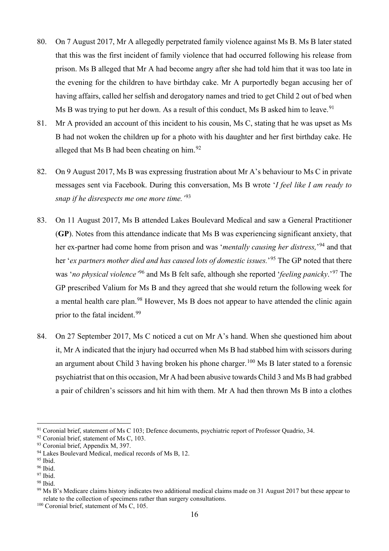- 80. On 7 August 2017, Mr A allegedly perpetrated family violence against Ms B. Ms B later stated that this was the first incident of family violence that had occurred following his release from prison. Ms B alleged that Mr A had become angry after she had told him that it was too late in the evening for the children to have birthday cake. Mr A purportedly began accusing her of having affairs, called her selfish and derogatory names and tried to get Child 2 out of bed when Ms B was trying to put her down. As a result of this conduct, Ms B asked him to leave.<sup>91</sup>
- 81. Mr A provided an account of this incident to his cousin, Ms C, stating that he was upset as Ms B had not woken the children up for a photo with his daughter and her first birthday cake. He alleged that Ms B had been cheating on him. $92$
- 82. On 9 August 2017, Ms B was expressing frustration about Mr A's behaviour to Ms C in private messages sent via Facebook. During this conversation, Ms B wrote '*I feel like I am ready to snap if he disrespects me one more time.'*<sup>93</sup>
- 83. On 11 August 2017, Ms B attended Lakes Boulevard Medical and saw a General Practitioner (**GP**). Notes from this attendance indicate that Ms B was experiencing significant anxiety, that her ex-partner had come home from prison and was '*mentally causing her distress,*' <sup>94</sup> and that her '*ex partners mother died and has caused lots of domestic issues.*' <sup>95</sup> The GP noted that there was '*no physical violence'*<sup>96</sup> and Ms B felt safe, although she reported '*feeling panicky*.'<sup>97</sup> The GP prescribed Valium for Ms B and they agreed that she would return the following week for a mental health care plan.<sup>98</sup> However, Ms B does not appear to have attended the clinic again prior to the fatal incident.<sup>99</sup>
- 84. On 27 September 2017, Ms C noticed a cut on Mr A's hand. When she questioned him about it, Mr A indicated that the injury had occurred when Ms B had stabbed him with scissors during an argument about Child 3 having broken his phone charger.<sup>100</sup> Ms B later stated to a forensic psychiatrist that on this occasion, Mr A had been abusive towards Child 3 and Ms B had grabbed a pair of children's scissors and hit him with them. Mr A had then thrown Ms B into a clothes

<sup>&</sup>lt;sup>91</sup> Coronial brief, statement of Ms C 103; Defence documents, psychiatric report of Professor Quadrio, 34.

 $92$  Coronial brief, statement of Ms C, 103.<br> $93$  Coronial brief, Appendix M, 397.

<sup>&</sup>lt;sup>94</sup> Lakes Boulevard Medical, medical records of Ms B, 12.

<sup>&</sup>lt;sup>95</sup> Ibid.

<sup>96</sup> Ibid.

<sup>97</sup> Ibid.

<sup>98</sup> Ibid.

<sup>&</sup>lt;sup>99</sup> Ms B's Medicare claims history indicates two additional medical claims made on 31 August 2017 but these appear to relate to the collection of specimens rather than surgery consultations. 100 Coronial brief, statement of Ms C, 105.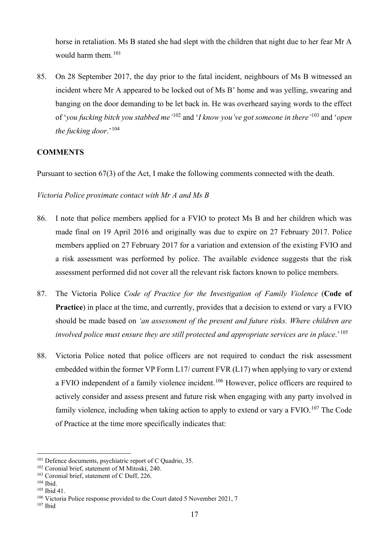horse in retaliation. Ms B stated she had slept with the children that night due to her fear Mr A would harm them.<sup>101</sup>

85. On 28 September 2017, the day prior to the fatal incident, neighbours of Ms B witnessed an incident where Mr A appeared to be locked out of Ms B' home and was yelling, swearing and banging on the door demanding to be let back in. He was overheard saying words to the effect of '*you fucking bitch you stabbed me'*<sup>102</sup> and '*I know you've got someone in there'*<sup>103</sup> and '*open*  the fucking door.'<sup>104</sup>

#### **COMMENTS**

Pursuant to section 67(3) of the Act, I make the following comments connected with the death.

*Victoria Police proximate contact with Mr A and Ms B*

- 86. I note that police members applied for a FVIO to protect Ms B and her children which was made final on 19 April 2016 and originally was due to expire on 27 February 2017. Police members applied on 27 February 2017 for a variation and extension of the existing FVIO and a risk assessment was performed by police. The available evidence suggests that the risk assessment performed did not cover all the relevant risk factors known to police members.
- 87. The Victoria Police *Code of Practice for the Investigation of Family Violence* (**Code of Practice**) in place at the time, and currently, provides that a decision to extend or vary a FVIO should be made based on *'an assessment of the present and future risks. Where children are involved police must ensure they are still protected and appropriate services are in place*.'<sup>105</sup>
- 88. Victoria Police noted that police officers are not required to conduct the risk assessment embedded within the former VP Form L17/ current FVR (L17) when applying to vary or extend a FVIO independent of a family violence incident.<sup>106</sup> However, police officers are required to actively consider and assess present and future risk when engaging with any party involved in family violence, including when taking action to apply to extend or vary a FVIO.<sup>107</sup> The Code of Practice at the time more specifically indicates that:

<sup>&</sup>lt;sup>101</sup> Defence documents, psychiatric report of C Quadrio, 35.

<sup>102</sup> Coronial brief, statement of M Mitoski, 240.

<sup>&</sup>lt;sup>103</sup> Coronial brief, statement of C Duff, 226.

<sup>104</sup> Ibid.

<sup>105</sup> Ibid 41.

<sup>&</sup>lt;sup>106</sup> Victoria Police response provided to the Court dated 5 November 2021, 7

<sup>107</sup> Ibid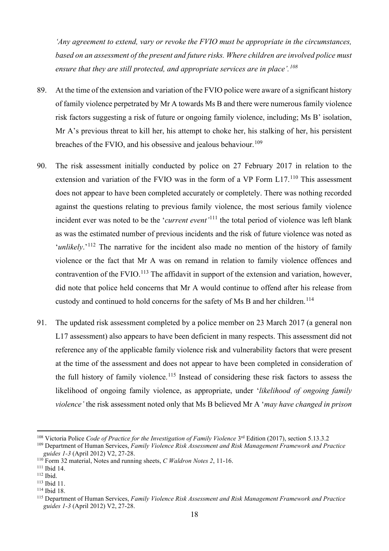*'Any agreement to extend, vary or revoke the FVIO must be appropriate in the circumstances, based on an assessment of the present and future risks. Where children are involved police must ensure that they are still protected, and appropriate services are in place'.<sup>108</sup>*

- 89. At the time of the extension and variation of the FVIO police were aware of a significant history of family violence perpetrated by Mr A towards Ms B and there were numerous family violence risk factors suggesting a risk of future or ongoing family violence, including; Ms B' isolation, Mr A's previous threat to kill her, his attempt to choke her, his stalking of her, his persistent breaches of the FVIO, and his obsessive and jealous behaviour.<sup>109</sup>
- 90. The risk assessment initially conducted by police on 27 February 2017 in relation to the extension and variation of the FVIO was in the form of a VP Form L17.<sup>110</sup> This assessment does not appear to have been completed accurately or completely. There was nothing recorded against the questions relating to previous family violence, the most serious family violence incident ever was noted to be the '*current event'*<sup>111</sup> the total period of violence was left blank as was the estimated number of previous incidents and the risk of future violence was noted as '*unlikely*.'<sup>112</sup> The narrative for the incident also made no mention of the history of family violence or the fact that Mr A was on remand in relation to family violence offences and contravention of the FVIO.<sup>113</sup> The affidavit in support of the extension and variation, however, did note that police held concerns that Mr A would continue to offend after his release from custody and continued to hold concerns for the safety of Ms B and her children.<sup>114</sup>
- 91. The updated risk assessment completed by a police member on 23 March 2017 (a general non L17 assessment) also appears to have been deficient in many respects. This assessment did not reference any of the applicable family violence risk and vulnerability factors that were present at the time of the assessment and does not appear to have been completed in consideration of the full history of family violence.<sup>115</sup> Instead of considering these risk factors to assess the likelihood of ongoing family violence, as appropriate, under '*likelihood of ongoing family violence'* the risk assessment noted only that Ms B believed Mr A '*may have changed in prison*

<sup>&</sup>lt;sup>108</sup> Victoria Police *Code of Practice for the Investigation of Family Violence* 3<sup>rd</sup> Edition (2017), section 5.13.3.2

<sup>109</sup> Department of Human Services, *Family Violence Risk Assessment and Risk Management Framework and Practice guides 1-3* (April 2012) V2, 27-28.

<sup>110</sup> Form 32 material, Notes and running sheets, *C Waldron Notes 2*, 11-16.

<sup>111</sup> Ibid 14.

<sup>112</sup> Ibid.

<sup>113</sup> Ibid 11. <sup>114</sup> Ibid 18.

<sup>115</sup> Department of Human Services, *Family Violence Risk Assessment and Risk Management Framework and Practice guides 1-3* (April 2012) V2, 27-28.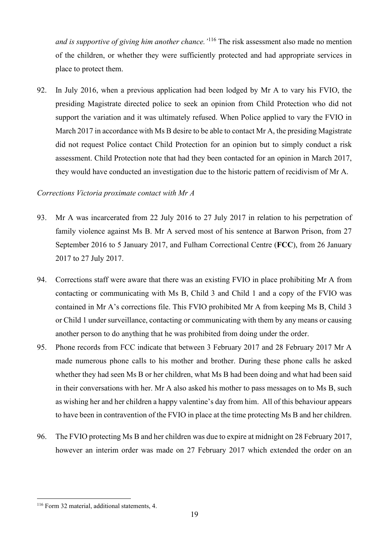*and is supportive of giving him another chance.'*<sup>116</sup> The risk assessment also made no mention of the children, or whether they were sufficiently protected and had appropriate services in place to protect them.

92. In July 2016, when a previous application had been lodged by Mr A to vary his FVIO, the presiding Magistrate directed police to seek an opinion from Child Protection who did not support the variation and it was ultimately refused. When Police applied to vary the FVIO in March 2017 in accordance with Ms B desire to be able to contact Mr A, the presiding Magistrate did not request Police contact Child Protection for an opinion but to simply conduct a risk assessment. Child Protection note that had they been contacted for an opinion in March 2017, they would have conducted an investigation due to the historic pattern of recidivism of Mr A.

#### *Corrections Victoria proximate contact with Mr A*

- 93. Mr A was incarcerated from 22 July 2016 to 27 July 2017 in relation to his perpetration of family violence against Ms B. Mr A served most of his sentence at Barwon Prison, from 27 September 2016 to 5 January 2017, and Fulham Correctional Centre (**FCC**), from 26 January 2017 to 27 July 2017.
- 94. Corrections staff were aware that there was an existing FVIO in place prohibiting Mr A from contacting or communicating with Ms B, Child 3 and Child 1 and a copy of the FVIO was contained in Mr A's corrections file. This FVIO prohibited Mr A from keeping Ms B, Child 3 or Child 1 under surveillance, contacting or communicating with them by any means or causing another person to do anything that he was prohibited from doing under the order.
- 95. Phone records from FCC indicate that between 3 February 2017 and 28 February 2017 Mr A made numerous phone calls to his mother and brother. During these phone calls he asked whether they had seen Ms B or her children, what Ms B had been doing and what had been said in their conversations with her. Mr A also asked his mother to pass messages on to Ms B, such as wishing her and her children a happy valentine's day from him. All of this behaviour appears to have been in contravention of the FVIO in place at the time protecting Ms B and her children.
- 96. The FVIO protecting Ms B and her children was due to expire at midnight on 28 February 2017, however an interim order was made on 27 February 2017 which extended the order on an

<sup>116</sup> Form 32 material, additional statements, 4.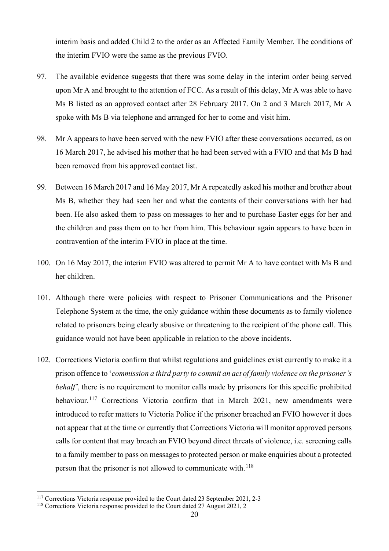interim basis and added Child 2 to the order as an Affected Family Member. The conditions of the interim FVIO were the same as the previous FVIO.

- 97. The available evidence suggests that there was some delay in the interim order being served upon Mr A and brought to the attention of FCC. As a result of this delay, Mr A was able to have Ms B listed as an approved contact after 28 February 2017. On 2 and 3 March 2017, Mr A spoke with Ms B via telephone and arranged for her to come and visit him.
- 98. Mr A appears to have been served with the new FVIO after these conversations occurred, as on 16 March 2017, he advised his mother that he had been served with a FVIO and that Ms B had been removed from his approved contact list.
- 99. Between 16 March 2017 and 16 May 2017, Mr A repeatedly asked his mother and brother about Ms B, whether they had seen her and what the contents of their conversations with her had been. He also asked them to pass on messages to her and to purchase Easter eggs for her and the children and pass them on to her from him. This behaviour again appears to have been in contravention of the interim FVIO in place at the time.
- 100. On 16 May 2017, the interim FVIO was altered to permit Mr A to have contact with Ms B and her children.
- 101. Although there were policies with respect to Prisoner Communications and the Prisoner Telephone System at the time, the only guidance within these documents as to family violence related to prisoners being clearly abusive or threatening to the recipient of the phone call. This guidance would not have been applicable in relation to the above incidents.
- 102. Corrections Victoria confirm that whilst regulations and guidelines exist currently to make it a prison offence to '*commission a third party to commit an act of family violence on the prisoner's behalf'*, there is no requirement to monitor calls made by prisoners for this specific prohibited behaviour.<sup>117</sup> Corrections Victoria confirm that in March 2021, new amendments were introduced to refer matters to Victoria Police if the prisoner breached an FVIO however it does not appear that at the time or currently that Corrections Victoria will monitor approved persons calls for content that may breach an FVIO beyond direct threats of violence, i.e. screening calls to a family member to pass on messages to protected person or make enquiries about a protected person that the prisoner is not allowed to communicate with.<sup>118</sup>

<sup>117</sup> Corrections Victoria response provided to the Court dated 23 September 2021, 2-3

<sup>118</sup> Corrections Victoria response provided to the Court dated 27 August 2021, 2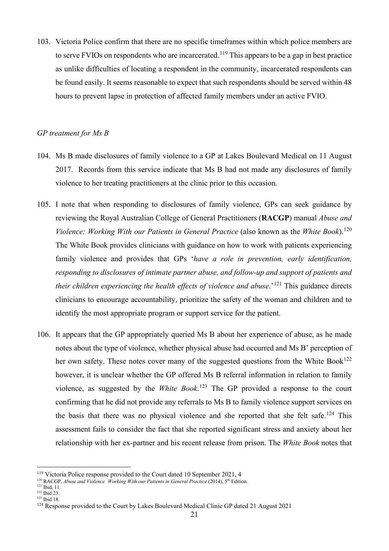103. Victoria Police confirm that there are no specific timeframes within which police members are to serve FVIOs on respondents who are incarcerated.<sup>119</sup> This appears to be a gap in best practice as unlike difficulties of locating a respondent in the community, incarcerated respondents can be found easily. It seems reasonable to expect that such respondents should be served within 48 hours to prevent lapse in protection of affected family members under an active FVIO.

#### *GP treatment for Ms B*

- 104. Ms B made disclosures of family violence to a GP at Lakes Boulevard Medical on 11 August 2017. Records from this service indicate that Ms B had not made any disclosures of family violence to her treating practitioners at the clinic prior to this occasion.
- 105. I note that when responding to disclosures of family violence, GPs can seek guidance by reviewing the Royal Australian College of General Practitioners (**RACGP**) manual *Abuse and Violence: Working With our Patients in General Practice (also known as the White Book).*<sup>120</sup> The White Book provides clinicians with guidance on how to work with patients experiencing family violence and provides that GPs '*have a role in prevention, early identification, responding to disclosures of intimate partner abuse, and follow-up and support of patients and their children experiencing the health effects of violence and abuse*.<sup>'121</sup> This guidance directs clinicians to encourage accountability, prioritize the safety of the woman and children and to identify the most appropriate program or support service for the patient.
- 106. It appears that the GP appropriately queried Ms B about her experience of abuse, as he made notes about the type of violence, whether physical abuse had occurred and Ms B' perception of her own safety. These notes cover many of the suggested questions from the White Book<sup>122</sup> however, it is unclear whether the GP offered Ms B referral information in relation to family violence, as suggested by the *White Book*. <sup>123</sup> The GP provided a response to the court confirming that he did not provide any referrals to Ms B to family violence support services on the basis that there was no physical violence and she reported that she felt safe.<sup>124</sup> This assessment fails to consider the fact that she reported significant stress and anxiety about her relationship with her ex-partner and his recent release from prison. The *White Book* notes that

<sup>122</sup> Ibid 23. <sup>123</sup> Ibid 18.

<sup>&</sup>lt;sup>119</sup> Victoria Police response provided to the Court dated 10 September 2021, 4<br><sup>120</sup> RACGP, *Abuse and Violence Working With our Patients in General Practice* (2014), 5<sup>th</sup> Edition.

<sup>&</sup>lt;sup>121</sup> Ibid, 11.

<sup>&</sup>lt;sup>124</sup> Response provided to the Court by Lakes Boulevard Medical Clinic GP dated 21 August 2021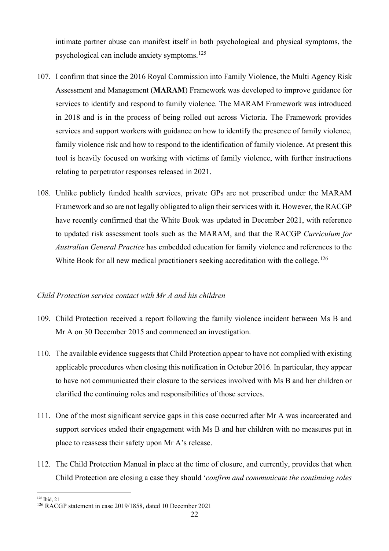intimate partner abuse can manifest itself in both psychological and physical symptoms, the psychological can include anxiety symptoms.<sup>125</sup>

- 107. I confirm that since the 2016 Royal Commission into Family Violence, the Multi Agency Risk Assessment and Management (**MARAM**) Framework was developed to improve guidance for services to identify and respond to family violence. The MARAM Framework was introduced in 2018 and is in the process of being rolled out across Victoria. The Framework provides services and support workers with guidance on how to identify the presence of family violence, family violence risk and how to respond to the identification of family violence. At present this tool is heavily focused on working with victims of family violence, with further instructions relating to perpetrator responses released in 2021.
- 108. Unlike publicly funded health services, private GPs are not prescribed under the MARAM Framework and so are not legally obligated to align their services with it. However, the RACGP have recently confirmed that the White Book was updated in December 2021, with reference to updated risk assessment tools such as the MARAM, and that the RACGP *Curriculum for Australian General Practice* has embedded education for family violence and references to the White Book for all new medical practitioners seeking accreditation with the college.<sup>126</sup>

#### *Child Protection service contact with Mr A and his children*

- 109. Child Protection received a report following the family violence incident between Ms B and Mr A on 30 December 2015 and commenced an investigation.
- 110. The available evidence suggests that Child Protection appear to have not complied with existing applicable procedures when closing this notification in October 2016. In particular, they appear to have not communicated their closure to the services involved with Ms B and her children or clarified the continuing roles and responsibilities of those services.
- 111. One of the most significant service gaps in this case occurred after Mr A was incarcerated and support services ended their engagement with Ms B and her children with no measures put in place to reassess their safety upon Mr A's release.
- 112. The Child Protection Manual in place at the time of closure, and currently, provides that when Child Protection are closing a case they should '*confirm and communicate the continuing roles*

<sup>125</sup> Ibid, 21

<sup>126</sup> RACGP statement in case 2019/1858, dated 10 December 2021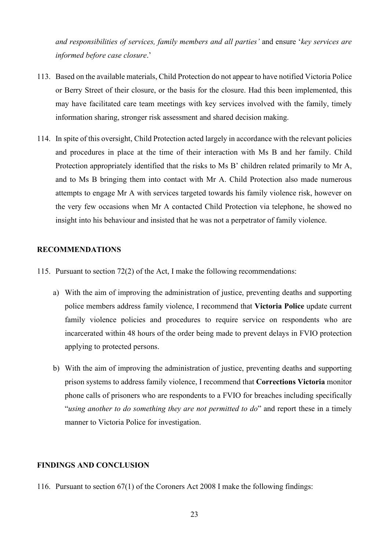*and responsibilities of services, family members and all parties'* and ensure '*key services are informed before case closure*.'

- 113. Based on the available materials, Child Protection do not appear to have notified Victoria Police or Berry Street of their closure, or the basis for the closure. Had this been implemented, this may have facilitated care team meetings with key services involved with the family, timely information sharing, stronger risk assessment and shared decision making.
- 114. In spite of this oversight, Child Protection acted largely in accordance with the relevant policies and procedures in place at the time of their interaction with Ms B and her family. Child Protection appropriately identified that the risks to Ms B' children related primarily to Mr A, and to Ms B bringing them into contact with Mr A. Child Protection also made numerous attempts to engage Mr A with services targeted towards his family violence risk, however on the very few occasions when Mr A contacted Child Protection via telephone, he showed no insight into his behaviour and insisted that he was not a perpetrator of family violence.

#### **RECOMMENDATIONS**

- 115. Pursuant to section 72(2) of the Act, I make the following recommendations:
	- a) With the aim of improving the administration of justice, preventing deaths and supporting police members address family violence, I recommend that **Victoria Police** update current family violence policies and procedures to require service on respondents who are incarcerated within 48 hours of the order being made to prevent delays in FVIO protection applying to protected persons.
	- b) With the aim of improving the administration of justice, preventing deaths and supporting prison systems to address family violence, I recommend that **Corrections Victoria** monitor phone calls of prisoners who are respondents to a FVIO for breaches including specifically "*using another to do something they are not permitted to do*" and report these in a timely manner to Victoria Police for investigation.

#### **FINDINGS AND CONCLUSION**

116. Pursuant to section 67(1) of the Coroners Act 2008 I make the following findings: